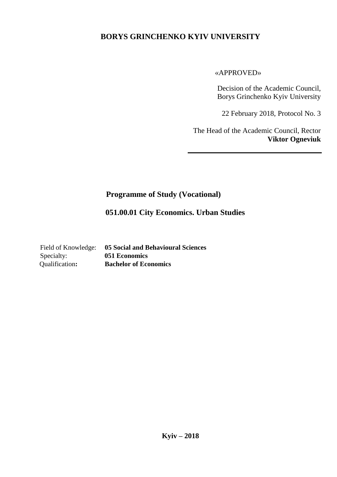### **BORYS GRINCHENKO KYIV UNIVERSITY**

#### «APPROVED»

Decision of the Academic Council, Borys Grinchenko Kyiv University

22 February 2018, Protocol No. 3

The Head of the Academic Council, Rector **Viktor Ogneviuk**

#### **Programme of Study (Vocational)**

 **051.00.01 City Economics. Urban Studies**

Specialty: **051 Economics**

Field of Knowledge: **05 Social and Behavioural Sciences** Qualification**: Bachelor of Economics**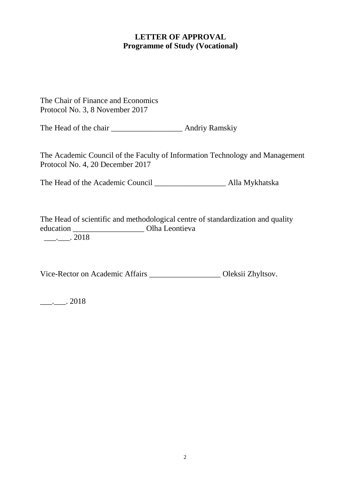#### **LETTER OF APPROVAL Programme of Study (Vocational)**

The Chair of Finance and Economics Protocol No. 3, 8 November 2017

The Head of the chair **Andri**y Ramskiy

The Academic Council of the Faculty of Information Technology and Management Protocol No. 4, 20 December 2017

The Head of the Academic Council \_\_\_\_\_\_\_\_\_\_\_\_\_\_\_\_\_\_ Alla Mykhatska

The Head of scientific and methodological centre of standardization and quality education \_\_\_\_\_\_\_\_\_\_\_\_\_\_\_\_\_\_ Olha Leontieva  $\frac{1}{2}$ . 2018

Vice-Rector on Academic Affairs \_\_\_\_\_\_\_\_\_\_\_\_\_\_\_\_\_\_ Oleksii Zhyltsov.

 $\frac{1}{2}$ . 2018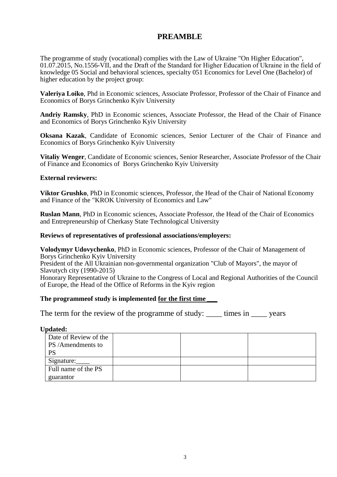#### **PREAMBLE**

The programme of study (vocational) complies with the Law of Ukraine "On Higher Education", 01.07.2015, No.1556-VІІ, and the Draft of the Standard for Higher Education of Ukraine in the field of knowledge 05 Social and behavioral sciences, specialty 051 Economics for Level One (Bachelor) of higher education by the project group:

**Valeriya Loiko**, Phd in Economic sciences, Associate Professor, Professor of the Chair of Finance and Economics of Borys Grinchenko Kyiv University

**Andriy Ramsky**, PhD in Economic sciences, Associate Professor, the Head of the Chair of Finance and Economics of Borys Grinchenko Kyiv University

**Oksana Kazak**, Candidate of Economic sciences, Senior Lecturer of the Chair of Finance and Economics of Borys Grinchenko Kyiv University

**Vitaliy Wenger**, Candidate of Economic sciences, Senior Researcher, Associate Professor of the Chair of Finance and Economics of Borys Grinchenko Kyiv University

#### **External reviewers:**

**Viktor Grushko**, PhD in Economic sciences, Professor, the Head of the Chair of National Economy and Finance of the "KROK University of Economics and Law"

**Ruslan Mann**, PhD in Economic sciences, Associate Professor, the Head of the Chair of Economics and Entrepreneurship of Cherkasy State Technological University

#### **Reviews of representatives of professional associations/employers:**

**Volodymyr Udovychenko**, PhD in Economic sciences, Professor of the Chair of Management of Borys Grinchenko Kyiv University

President of the All Ukrainian non-governmental organization "Club of Mayors", the mayor of Slavutych city (1990-2015)

Honorary Representative of Ukraine to the Congress of Local and Regional Authorities of the Council of Europe, the Head of the Office of Reforms in the Kyiv region

#### **The programmeof study is implemented for the first time** *\_\_\_*

The term for the review of the programme of study: \_\_\_\_\_ times in \_\_\_\_\_ years

#### **Updated:**

| Date of Review of the |  |  |
|-----------------------|--|--|
| PS/Amendments to      |  |  |
| <b>PS</b>             |  |  |
| Signature:            |  |  |
| Full name of the PS   |  |  |
| guarantor             |  |  |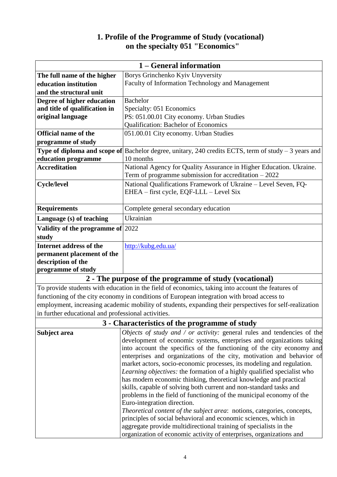#### **1. Profile of the Programme of Study (vocational) on the specialty 051 "Economics"**

| 1 – General information           |                                                                                                              |  |  |
|-----------------------------------|--------------------------------------------------------------------------------------------------------------|--|--|
| The full name of the higher       | Borys Grinchenko Kyiv Unyversity                                                                             |  |  |
| education institution             | Faculty of Information Technology and Management                                                             |  |  |
| and the structural unit           |                                                                                                              |  |  |
| Degree of higher education        | <b>Bachelor</b>                                                                                              |  |  |
| and title of qualification in     | Specialty: 051 Economics                                                                                     |  |  |
| original language                 | PS: 051.00.01 City economy. Urban Studies                                                                    |  |  |
|                                   | <b>Qualification: Bachelor of Economics</b>                                                                  |  |  |
| <b>Official name of the</b>       | 051.00.01 City economy. Urban Studies                                                                        |  |  |
| programme of study                |                                                                                                              |  |  |
|                                   | <b>Type of diploma and scope of</b> Bachelor degree, unitary, 240 credits ECTS, term of study $-3$ years and |  |  |
| education programme               | 10 months                                                                                                    |  |  |
| <b>Accreditation</b>              | National Agency for Quality Assurance in Higher Education. Ukraine.                                          |  |  |
|                                   | Term of programme submission for accreditation $-2022$                                                       |  |  |
| <b>Cycle/level</b>                | National Qualifications Framework of Ukraine - Level Seven, FQ-                                              |  |  |
|                                   | EHEA – first cycle, EQF-LLL – Level Six                                                                      |  |  |
|                                   |                                                                                                              |  |  |
| <b>Requirements</b>               | Complete general secondary education                                                                         |  |  |
| Language (s) of teaching          | Ukrainian                                                                                                    |  |  |
| Validity of the programme of 2022 |                                                                                                              |  |  |
| study                             |                                                                                                              |  |  |
| <b>Internet address of the</b>    | http://kubg.edu.ua/                                                                                          |  |  |
| permanent placement of the        |                                                                                                              |  |  |
| description of the                |                                                                                                              |  |  |
| programme of study                |                                                                                                              |  |  |
| $\blacksquare$                    | $P \cup I$ $($ $P \cup I)$<br><u>р 11.</u>                                                                   |  |  |

#### **2 - The purpose of the programme of study (vocational)**

To provide students with education in the field of economics, taking into account the features of functioning of the city economy in conditions of European integration with broad access to employment, increasing academic mobility of students, expanding their perspectives for self-realization in further educational and professional activities.

### **3 - Characteristics of the programme of study**

| Subject area | Objects of study and / or activity: general rules and tendencies of the |  |  |  |
|--------------|-------------------------------------------------------------------------|--|--|--|
|              | development of economic systems, enterprises and organizations taking   |  |  |  |
|              | into account the specifics of the functioning of the city economy and   |  |  |  |
|              | enterprises and organizations of the city, motivation and behavior of   |  |  |  |
|              | market actors, socio-economic processes, its modeling and regulation.   |  |  |  |
|              | Learning objectives: the formation of a highly qualified specialist who |  |  |  |
|              | has modern economic thinking, theoretical knowledge and practical       |  |  |  |
|              | skills, capable of solving both current and non-standard tasks and      |  |  |  |
|              | problems in the field of functioning of the municipal economy of the    |  |  |  |
|              | Euro-integration direction.                                             |  |  |  |
|              | Theoretical content of the subject area: notions, categories, concepts, |  |  |  |
|              | principles of social behavioral and economic sciences, which in         |  |  |  |
|              | aggregate provide multidirectional training of specialists in the       |  |  |  |
|              | organization of economic activity of enterprises, organizations and     |  |  |  |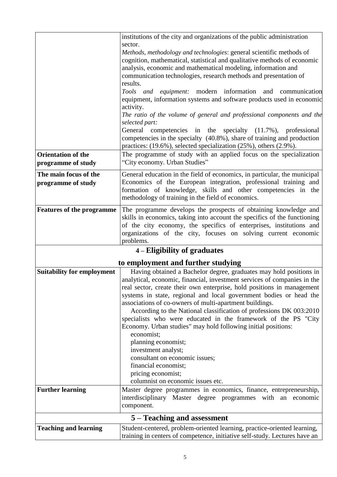|                                                              | institutions of the city and organizations of the public administration                                                                                                                                                                                                                                                                                                                                                                                                                                                                                                                                                                                                                                                                                                                                                   |  |  |
|--------------------------------------------------------------|---------------------------------------------------------------------------------------------------------------------------------------------------------------------------------------------------------------------------------------------------------------------------------------------------------------------------------------------------------------------------------------------------------------------------------------------------------------------------------------------------------------------------------------------------------------------------------------------------------------------------------------------------------------------------------------------------------------------------------------------------------------------------------------------------------------------------|--|--|
|                                                              | sector.<br>Methods, methodology and technologies: general scientific methods of<br>cognition, mathematical, statistical and qualitative methods of economic<br>analysis, economic and mathematical modeling, information and<br>communication technologies, research methods and presentation of<br>results.                                                                                                                                                                                                                                                                                                                                                                                                                                                                                                              |  |  |
|                                                              | Tools and equipment: modern information and communication<br>equipment, information systems and software products used in economic<br>activity.                                                                                                                                                                                                                                                                                                                                                                                                                                                                                                                                                                                                                                                                           |  |  |
|                                                              | The ratio of the volume of general and professional components and the<br>selected part:                                                                                                                                                                                                                                                                                                                                                                                                                                                                                                                                                                                                                                                                                                                                  |  |  |
|                                                              | General competencies in the specialty (11.7%), professional<br>competencies in the specialty (40.8%), share of training and production<br>practices: (19.6%), selected specialization (25%), others (2.9%).                                                                                                                                                                                                                                                                                                                                                                                                                                                                                                                                                                                                               |  |  |
| <b>Orientation of the</b><br>programme of study              | The programme of study with an applied focus on the specialization<br>"City economy. Urban Studies"                                                                                                                                                                                                                                                                                                                                                                                                                                                                                                                                                                                                                                                                                                                       |  |  |
| The main focus of the<br>programme of study                  | General education in the field of economics, in particular, the municipal<br>Economics of the European integration, professional training and<br>formation of knowledge, skills and other competencies in the<br>methodology of training in the field of economics.                                                                                                                                                                                                                                                                                                                                                                                                                                                                                                                                                       |  |  |
| <b>Features of the programme</b>                             | The programme develops the prospects of obtaining knowledge and<br>skills in economics, taking into account the specifics of the functioning<br>of the city economy, the specifics of enterprises, institutions and<br>organizations of the city, focuses on solving current economic<br>problems.                                                                                                                                                                                                                                                                                                                                                                                                                                                                                                                        |  |  |
|                                                              | 4 – Eligibility of graduates                                                                                                                                                                                                                                                                                                                                                                                                                                                                                                                                                                                                                                                                                                                                                                                              |  |  |
|                                                              | to employment and further studying                                                                                                                                                                                                                                                                                                                                                                                                                                                                                                                                                                                                                                                                                                                                                                                        |  |  |
| <b>Suitability for employment</b><br><b>Further learning</b> | Having obtained a Bachelor degree, graduates may hold positions in<br>analytical, economic, financial, investment services of companies in the<br>real sector, create their own enterprise, hold positions in management<br>systems in state, regional and local government bodies or head the<br>associations of co-owners of multi-apartment buildings.<br>According to the National classification of professions DK 003:2010<br>specialists who were educated in the framework of the PS "City<br>Economy. Urban studies" may hold following initial positions:<br>economist;<br>planning economist;<br>investment analyst;<br>consultant on economic issues;<br>financial economist;<br>pricing economist;<br>columnist on economic issues etc.<br>Master degree programmes in economics, finance, entrepreneurship, |  |  |
|                                                              | interdisciplinary Master degree programmes with an economic<br>component.                                                                                                                                                                                                                                                                                                                                                                                                                                                                                                                                                                                                                                                                                                                                                 |  |  |
|                                                              | 5 – Teaching and assessment                                                                                                                                                                                                                                                                                                                                                                                                                                                                                                                                                                                                                                                                                                                                                                                               |  |  |
| <b>Teaching and learning</b>                                 | Student-centered, problem-oriented learning, practice-oriented learning,<br>training in centers of competence, initiative self-study. Lectures have an                                                                                                                                                                                                                                                                                                                                                                                                                                                                                                                                                                                                                                                                    |  |  |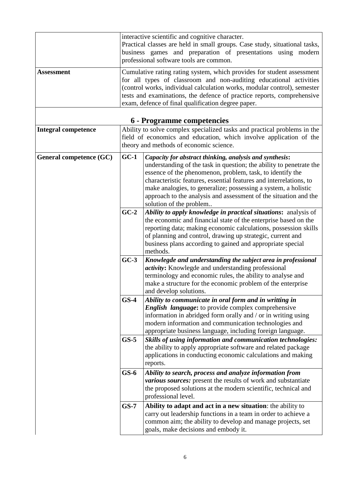| <b>Assessment</b>          | interactive scientific and cognitive character.<br>Practical classes are held in small groups. Case study, situational tasks,<br>business games and preparation of presentations using modern<br>professional software tools are common.<br>Cumulative rating rating system, which provides for student assessment<br>for all types of classroom and non-auditing educational activities<br>(control works, individual calculation works, modular control), semester<br>tests and examinations, the defence of practice reports, comprehensive<br>exam, defence of final qualification degree paper.                 |                                                                                                                                                                                                                                                                                                                                                                                                                                    |  |
|----------------------------|----------------------------------------------------------------------------------------------------------------------------------------------------------------------------------------------------------------------------------------------------------------------------------------------------------------------------------------------------------------------------------------------------------------------------------------------------------------------------------------------------------------------------------------------------------------------------------------------------------------------|------------------------------------------------------------------------------------------------------------------------------------------------------------------------------------------------------------------------------------------------------------------------------------------------------------------------------------------------------------------------------------------------------------------------------------|--|
| <b>Integral competence</b> |                                                                                                                                                                                                                                                                                                                                                                                                                                                                                                                                                                                                                      | 6 - Programme competencies<br>Ability to solve complex specialized tasks and practical problems in the                                                                                                                                                                                                                                                                                                                             |  |
|                            |                                                                                                                                                                                                                                                                                                                                                                                                                                                                                                                                                                                                                      | field of economics and education, which involve application of the<br>theory and methods of economic science.                                                                                                                                                                                                                                                                                                                      |  |
| General competence (GC)    | $GC-1$                                                                                                                                                                                                                                                                                                                                                                                                                                                                                                                                                                                                               | Capacity for abstract thinking, analysis and synthesis:<br>understanding of the task in question; the ability to penetrate the<br>essence of the phenomenon, problem, task, to identify the<br>characteristic features, essential features and interrelations, to<br>make analogies, to generalize; possessing a system, a holistic<br>approach to the analysis and assessment of the situation and the<br>solution of the problem |  |
|                            | $GC-2$                                                                                                                                                                                                                                                                                                                                                                                                                                                                                                                                                                                                               | Ability to apply knowledge in practical situations: analysis of<br>the economic and financial state of the enterprise based on the<br>reporting data; making economic calculations, possession skills<br>of planning and control, drawing up strategic, current and<br>business plans according to gained and appropriate special<br>methods.                                                                                      |  |
|                            | $GC-3$<br>Knowlegde and understanding the subject area in professional<br><i>activity</i> : Knowlegde and understanding professional<br>terminology and economic rules, the ability to analyse and<br>make a structure for the economic problem of the enterprise<br>and develop solutions.<br>$GS-4$<br>Ability to communicate in oral form and in writting in<br><b>English language:</b> to provide complex comprehensive<br>information in abridged form orally and / or in writing using<br>modern information and communication technologies and<br>appropriate business language, including foreign language. |                                                                                                                                                                                                                                                                                                                                                                                                                                    |  |
|                            |                                                                                                                                                                                                                                                                                                                                                                                                                                                                                                                                                                                                                      |                                                                                                                                                                                                                                                                                                                                                                                                                                    |  |
|                            | $GS-5$                                                                                                                                                                                                                                                                                                                                                                                                                                                                                                                                                                                                               | Skills of using information and communication technologies:<br>the ability to apply appropriate software and related package<br>applications in conducting economic calculations and making<br>reports.                                                                                                                                                                                                                            |  |
|                            | $GS-6$                                                                                                                                                                                                                                                                                                                                                                                                                                                                                                                                                                                                               | Ability to search, process and analyze information from<br>various sources: present the results of work and substantiate<br>the proposed solutions at the modern scientific, technical and<br>professional level.                                                                                                                                                                                                                  |  |
|                            | $GS-7$                                                                                                                                                                                                                                                                                                                                                                                                                                                                                                                                                                                                               | Ability to adapt and act in a new situation: the ability to<br>carry out leadership functions in a team in order to achieve a<br>common aim; the ability to develop and manage projects, set<br>goals, make decisions and embody it.                                                                                                                                                                                               |  |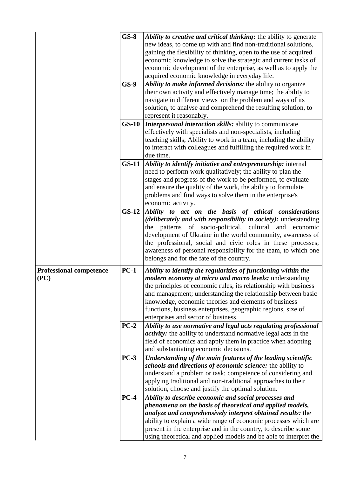|                                        | $GS-8$<br>$GS-9$ | Ability to creative and critical thinking: the ability to generate<br>new ideas, to come up with and find non-traditional solutions,<br>gaining the flexibility of thinking, open to the use of acquired<br>economic knowledge to solve the strategic and current tasks of<br>economic development of the enterprise, as well as to apply the<br>acquired economic knowledge in everyday life.<br>Ability to make informed decisions: the ability to organize<br>their own activity and effectively manage time; the ability to<br>navigate in different views on the problem and ways of its |  |  |
|----------------------------------------|------------------|-----------------------------------------------------------------------------------------------------------------------------------------------------------------------------------------------------------------------------------------------------------------------------------------------------------------------------------------------------------------------------------------------------------------------------------------------------------------------------------------------------------------------------------------------------------------------------------------------|--|--|
|                                        | $GS-10$          | solution, to analyse and comprehend the resulting solution, to<br>represent it reasonably.<br>Interpersonal interaction skills: ability to communicate<br>effectively with specialists and non-specialists, including<br>teaching skills; Ability to work in a team, including the ability<br>to interact with colleagues and fulfilling the required work in<br>due time.                                                                                                                                                                                                                    |  |  |
|                                        | $GS-11$          | Ability to identify initiative and entrepreneurship: internal<br>need to perform work qualitatively; the ability to plan the<br>stages and progress of the work to be performed, to evaluate<br>and ensure the quality of the work, the ability to formulate<br>problems and find ways to solve them in the enterprise's<br>economic activity.                                                                                                                                                                                                                                                |  |  |
|                                        | $GS-12$          | Ability to act on the basis of ethical considerations<br>(deliberately and with responsibility in society): understanding<br>the patterns of socio-political, cultural and economic<br>development of Ukraine in the world community, awareness of<br>the professional, social and civic roles in these processes;<br>awareness of personal responsibility for the team, to which one<br>belongs and for the fate of the country.                                                                                                                                                             |  |  |
| <b>Professional competence</b><br>(PC) | $PC-1$           | Ability to identify the regularities of functioning within the<br><i>modern economy at micro and macro levels:</i> understanding<br>the principles of economic rules, its relationship with business<br>and management; understanding the relationship between basic<br>knowledge, economic theories and elements of business<br>functions, business enterprises, geographic regions, size of<br>enterprises and sector of business.                                                                                                                                                          |  |  |
|                                        | $PC-2$           | Ability to use normative and legal acts regulating professional<br>activity: the ability to understand normative legal acts in the<br>field of economics and apply them in practice when adopting<br>and substantiating economic decisions.                                                                                                                                                                                                                                                                                                                                                   |  |  |
|                                        | $PC-3$           | Understanding of the main features of the leading scientific<br>schools and directions of economic science: the ability to<br>understand a problem or task; competence of considering and<br>applying traditional and non-traditional approaches to their<br>solution, choose and justify the optimal solution.                                                                                                                                                                                                                                                                               |  |  |
|                                        | $PC-4$           | Ability to describe economic and social processes and<br>phenomena on the basis of theoretical and applied models,<br>analyze and comprehensively interpret obtained results: the<br>ability to explain a wide range of economic processes which are<br>present in the enterprise and in the country, to describe some<br>using theoretical and applied models and be able to interpret the                                                                                                                                                                                                   |  |  |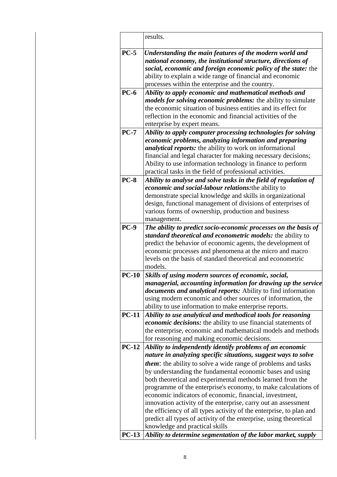|             | results.                                                                                                                                                                                                                                                                                                                                                                                                                                                                                                                                                                                                                                                                                                      |
|-------------|---------------------------------------------------------------------------------------------------------------------------------------------------------------------------------------------------------------------------------------------------------------------------------------------------------------------------------------------------------------------------------------------------------------------------------------------------------------------------------------------------------------------------------------------------------------------------------------------------------------------------------------------------------------------------------------------------------------|
| $PC-5$      | Understanding the main features of the modern world and<br>national economy, the institutional structure, directions of<br>social, economic and foreign economic policy of the state: the<br>ability to explain a wide range of financial and economic<br>processes within the enterprise and the country.                                                                                                                                                                                                                                                                                                                                                                                                    |
| $PC-6$      | Ability to apply economic and mathematical methods and<br>models for solving economic problems: the ability to simulate<br>the economic situation of business entities and its effect for<br>reflection in the economic and financial activities of the<br>enterprise by expert means.                                                                                                                                                                                                                                                                                                                                                                                                                        |
| $PC-7$      | Ability to apply computer processing technologies for solving<br>economic problems, analyzing information and preparing<br><i>analytical reports:</i> the ability to work on informational<br>financial and legal character for making necessary decisions;<br>Ability to use information technology in finance to perform<br>practical tasks in the field of professional activities.                                                                                                                                                                                                                                                                                                                        |
| <b>PC-8</b> | Ability to analyse and solve tasks in the field of regulation of<br>economic and social-labour relations: the ability to<br>demonstrate special knowledge and skills in organizational<br>design, functional management of divisions of enterprises of<br>various forms of ownership, production and business<br>management.                                                                                                                                                                                                                                                                                                                                                                                  |
| <b>PC-9</b> | The ability to predict socio-economic processes on the basis of<br>standard theoretical and econometric models: the ability to<br>predict the behavior of economic agents, the development of<br>economic processes and phenomena at the micro and macro<br>levels on the basis of standard theoretical and econometric<br>models.                                                                                                                                                                                                                                                                                                                                                                            |
| $PC-10$     | Skills of using modern sources of economic, social,<br>managerial, accounting information for drawing up the service<br><i>documents and analytical reports:</i> Ability to find information<br>using modern economic and other sources of information, the<br>ability to use information to make enterprise reports.                                                                                                                                                                                                                                                                                                                                                                                         |
| $PC-11$     | Ability to use analytical and methodical tools for reasoning<br><i>economic decisions:</i> the ability to use financial statements of<br>the enterprise, economic and mathematical models and methods<br>for reasoning and making economic decisions.                                                                                                                                                                                                                                                                                                                                                                                                                                                         |
| $PC-12$     | Ability to independently identify problems of an economic<br>nature in analyzing specific situations, suggest ways to solve<br><i>them</i> : the ability to solve a wide range of problems and tasks<br>by understanding the fundamental economic bases and using<br>both theoretical and experimental methods learned from the<br>programme of the enterprise's economy, to make calculations of<br>economic indicators of economic, financial, investment,<br>innovation activity of the enterprise, carry out an assessment<br>the efficiency of all types activity of the enterprise, to plan and<br>predict all types of activity of the enterprise, using theoretical<br>knowledge and practical skills |
| $PC-13$     | Ability to determine segmentation of the labor market, supply                                                                                                                                                                                                                                                                                                                                                                                                                                                                                                                                                                                                                                                 |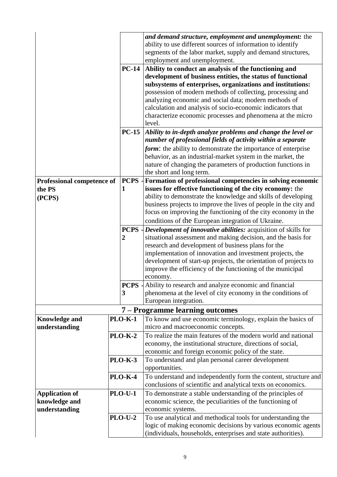|                                         |                |              | and demand structure, employment and unemployment: the           |  |
|-----------------------------------------|----------------|--------------|------------------------------------------------------------------|--|
|                                         |                |              | ability to use different sources of information to identify      |  |
|                                         |                |              | segments of the labor market, supply and demand structures,      |  |
|                                         |                |              | employment and unemployment.                                     |  |
|                                         |                | <b>PC-14</b> | Ability to conduct an analysis of the functioning and            |  |
|                                         |                |              | development of business entities, the status of functional       |  |
|                                         |                |              | subsystems of enterprises, organizations and institutions:       |  |
|                                         |                |              | possession of modern methods of collecting, processing and       |  |
|                                         |                |              | analyzing economic and social data; modern methods of            |  |
|                                         |                |              | calculation and analysis of socio-economic indicators that       |  |
|                                         |                |              | characterize economic processes and phenomena at the micro       |  |
|                                         |                |              | level.                                                           |  |
|                                         |                | $PC-15$      | Ability to in-depth analyze problems and change the level or     |  |
|                                         |                |              | number of professional fields of activity within a separate      |  |
|                                         |                |              | form: the ability to demonstrate the importance of enterprise    |  |
|                                         |                |              | behavior, as an industrial-market system in the market, the      |  |
|                                         |                |              | nature of changing the parameters of production functions in     |  |
|                                         |                |              | the short and long term.                                         |  |
| <b>Professional competence of</b>       |                | PCPS -       | Formation of professional competencies in solving economic       |  |
| 1<br>the PS                             |                |              | issues for effective functioning of the city economy: the        |  |
| (PCPS)                                  |                |              | ability to demonstrate the knowledge and skills of developing    |  |
|                                         |                |              | business projects to improve the lives of people in the city and |  |
|                                         |                |              | focus on improving the functioning of the city economy in the    |  |
|                                         |                |              | conditions of the European integration of Ukraine.               |  |
|                                         |                | <b>PCPS</b>  | Development of innovative abilities: acquisition of skills for   |  |
|                                         | 2              |              | situational assessment and making decision, and the basis for    |  |
|                                         |                |              | research and development of business plans for the               |  |
|                                         |                |              | implementation of innovation and investment projects, the        |  |
|                                         |                |              | development of start-up projects, the orientation of projects to |  |
|                                         |                |              | improve the efficiency of the functioning of the municipal       |  |
|                                         |                |              | economy.                                                         |  |
|                                         |                | PCPS-        | Ability to research and analyze economic and financial           |  |
|                                         | 3              |              | phenomena at the level of city economy in the conditions of      |  |
|                                         |                |              | European integration.                                            |  |
|                                         |                |              | 7 - Programme learning outcomes                                  |  |
| <b>Knowledge and</b>                    | <b>PLO-K-1</b> |              | To know and use economic terminology, explain the basics of      |  |
| understanding                           |                |              | micro and macroeconomic concepts.                                |  |
|                                         | <b>PLO-K-2</b> |              | To realize the main features of the modern world and national    |  |
|                                         |                |              | economy, the institutional structure, directions of social,      |  |
|                                         |                |              | economic and foreign economic policy of the state.               |  |
| <b>PLO-K-3</b>                          |                |              | To understand and plan personal career development               |  |
| <b>PLO-K-4</b>                          |                |              | opportunities.                                                   |  |
|                                         |                |              | To understand and independently form the content, structure and  |  |
|                                         |                |              | conclusions of scientific and analytical texts on economics.     |  |
| <b>PLO-U-1</b><br><b>Application of</b> |                |              | To demonstrate a stable understanding of the principles of       |  |
| knowledge and                           |                |              | economic science, the peculiarities of the functioning of        |  |
| understanding                           |                |              | economic systems.                                                |  |
| <b>PLO-U-2</b>                          |                |              | To use analytical and methodical tools for understanding the     |  |
|                                         |                |              | logic of making economic decisions by various economic agents    |  |
|                                         |                |              | (individuals, households, enterprises and state authorities).    |  |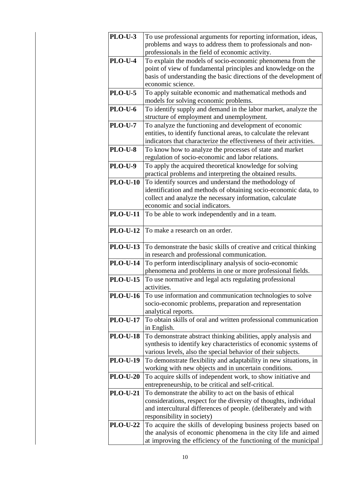| <b>PLO-U-3</b>  | To use professional arguments for reporting information, ideas,                                                |  |
|-----------------|----------------------------------------------------------------------------------------------------------------|--|
|                 | problems and ways to address them to professionals and non-                                                    |  |
| <b>PLO-U-4</b>  | professionals in the field of economic activity.<br>To explain the models of socio-economic phenomena from the |  |
|                 | point of view of fundamental principles and knowledge on the                                                   |  |
|                 | basis of understanding the basic directions of the development of                                              |  |
|                 | economic science.                                                                                              |  |
| <b>PLO-U-5</b>  | To apply suitable economic and mathematical methods and                                                        |  |
|                 | models for solving economic problems.                                                                          |  |
| <b>PLO-U-6</b>  | To identify supply and demand in the labor market, analyze the                                                 |  |
|                 | structure of employment and unemployment.                                                                      |  |
| <b>PLO-U-7</b>  | To analyze the functioning and development of economic                                                         |  |
|                 | entities, to identify functional areas, to calculate the relevant                                              |  |
|                 | indicators that characterize the effectiveness of their activities.                                            |  |
| <b>PLO-U-8</b>  | To know how to analyze the processes of state and market                                                       |  |
|                 | regulation of socio-economic and labor relations.                                                              |  |
| <b>PLO-U-9</b>  | To apply the acquired theoretical knowledge for solving                                                        |  |
|                 | practical problems and interpreting the obtained results.                                                      |  |
| <b>PLO-U-10</b> | To identify sources and understand the methodology of                                                          |  |
|                 | identification and methods of obtaining socio-economic data, to                                                |  |
|                 | collect and analyze the necessary information, calculate<br>economic and social indicators.                    |  |
| <b>PLO-U-11</b> | To be able to work independently and in a team.                                                                |  |
|                 |                                                                                                                |  |
| <b>PLO-U-12</b> | To make a research on an order.                                                                                |  |
|                 |                                                                                                                |  |
| <b>PLO-U-13</b> | To demonstrate the basic skills of creative and critical thinking                                              |  |
|                 | in research and professional communication.                                                                    |  |
| <b>PLO-U-14</b> | To perform interdisciplinary analysis of socio-economic                                                        |  |
|                 | phenomena and problems in one or more professional fields.                                                     |  |
| <b>PLO-U-15</b> | To use normative and legal acts regulating professional                                                        |  |
|                 | activities.                                                                                                    |  |
| <b>PLO-U-16</b> | To use information and communication technologies to solve                                                     |  |
|                 | socio-economic problems, preparation and representation                                                        |  |
|                 | analytical reports.                                                                                            |  |
| <b>PLO-U-17</b> | To obtain skills of oral and written professional communication<br>in English.                                 |  |
| <b>PLO-U-18</b> | To demonstrate abstract thinking abilities, apply analysis and                                                 |  |
|                 | synthesis to identify key characteristics of economic systems of                                               |  |
|                 | various levels, also the special behavior of their subjects.                                                   |  |
| <b>PLO-U-19</b> | To demonstrate flexibility and adaptability in new situations, in                                              |  |
|                 | working with new objects and in uncertain conditions.                                                          |  |
| <b>PLO-U-20</b> | To acquire skills of independent work, to show initiative and                                                  |  |
|                 | entrepreneurship, to be critical and self-critical.                                                            |  |
| <b>PLO-U-21</b> | To demonstrate the ability to act on the basis of ethical                                                      |  |
|                 | considerations, respect for the diversity of thoughts, individual                                              |  |
|                 | and intercultural differences of people. (deliberately and with                                                |  |
|                 | responsibility in society)                                                                                     |  |
| <b>PLO-U-22</b> | To acquire the skills of developing business projects based on                                                 |  |
|                 | the analysis of economic phenomena in the city life and aimed                                                  |  |
|                 | at improving the efficiency of the functioning of the municipal                                                |  |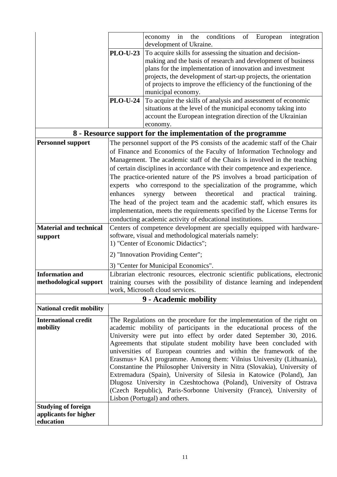|                                 |                                                                                                                                           | conditions<br>of European<br>in<br>the<br>integration<br>economy<br>development of Ukraine.                                                       |  |  |  |
|---------------------------------|-------------------------------------------------------------------------------------------------------------------------------------------|---------------------------------------------------------------------------------------------------------------------------------------------------|--|--|--|
|                                 | To acquire skills for assessing the situation and decision-<br><b>PLO-U-23</b>                                                            |                                                                                                                                                   |  |  |  |
|                                 | making and the basis of research and development of business                                                                              |                                                                                                                                                   |  |  |  |
|                                 |                                                                                                                                           | plans for the implementation of innovation and investment                                                                                         |  |  |  |
|                                 |                                                                                                                                           | projects, the development of start-up projects, the orientation                                                                                   |  |  |  |
|                                 |                                                                                                                                           | of projects to improve the efficiency of the functioning of the                                                                                   |  |  |  |
|                                 |                                                                                                                                           | municipal economy.                                                                                                                                |  |  |  |
|                                 | <b>PLO-U-24</b>                                                                                                                           | To acquire the skills of analysis and assessment of economic                                                                                      |  |  |  |
|                                 |                                                                                                                                           | situations at the level of the municipal economy taking into                                                                                      |  |  |  |
|                                 |                                                                                                                                           | account the European integration direction of the Ukrainian                                                                                       |  |  |  |
|                                 |                                                                                                                                           | economy.                                                                                                                                          |  |  |  |
|                                 |                                                                                                                                           | 8 - Resource support for the implementation of the programme                                                                                      |  |  |  |
| <b>Personnel support</b>        |                                                                                                                                           | The personnel support of the PS consists of the academic staff of the Chair                                                                       |  |  |  |
|                                 |                                                                                                                                           | of Finance and Economics of the Faculty of Information Technology and                                                                             |  |  |  |
|                                 |                                                                                                                                           | Management. The academic staff of the Chairs is involved in the teaching                                                                          |  |  |  |
|                                 |                                                                                                                                           | of certain disciplines in accordance with their competence and experience.                                                                        |  |  |  |
|                                 | The practice-oriented nature of the PS involves a broad participation of                                                                  |                                                                                                                                                   |  |  |  |
|                                 | experts who correspond to the specialization of the programme, which                                                                      |                                                                                                                                                   |  |  |  |
|                                 | theoretical<br>enhances<br>practical<br>synergy<br>between<br>and<br>training.                                                            |                                                                                                                                                   |  |  |  |
|                                 |                                                                                                                                           | The head of the project team and the academic staff, which ensures its                                                                            |  |  |  |
|                                 |                                                                                                                                           | implementation, meets the requirements specified by the License Terms for                                                                         |  |  |  |
|                                 | conducting academic activity of educational institutions.                                                                                 |                                                                                                                                                   |  |  |  |
| <b>Material and technical</b>   | Centers of competence development are specially equipped with hardware-                                                                   |                                                                                                                                                   |  |  |  |
| support                         | software, visual and methodological materials namely:                                                                                     |                                                                                                                                                   |  |  |  |
|                                 | 1) "Center of Economic Didactics";                                                                                                        |                                                                                                                                                   |  |  |  |
|                                 |                                                                                                                                           | 2) "Innovation Providing Center";                                                                                                                 |  |  |  |
|                                 |                                                                                                                                           | 3) "Center for Municipal Economics".                                                                                                              |  |  |  |
| <b>Information and</b>          |                                                                                                                                           | Librarian electronic resources, electronic scientific publications, electronic                                                                    |  |  |  |
| methodological support          |                                                                                                                                           | training courses with the possibility of distance learning and independent                                                                        |  |  |  |
|                                 | work, Microsoft cloud services.                                                                                                           |                                                                                                                                                   |  |  |  |
|                                 |                                                                                                                                           | 9 - Academic mobility                                                                                                                             |  |  |  |
| <b>National credit mobility</b> |                                                                                                                                           |                                                                                                                                                   |  |  |  |
| <b>International credit</b>     |                                                                                                                                           | The Regulations on the procedure for the implementation of the right on                                                                           |  |  |  |
| mobility                        |                                                                                                                                           | academic mobility of participants in the educational process of the                                                                               |  |  |  |
|                                 |                                                                                                                                           | University were put into effect by order dated September 30, 2016.                                                                                |  |  |  |
|                                 | Agreements that stipulate student mobility have been concluded with                                                                       |                                                                                                                                                   |  |  |  |
|                                 |                                                                                                                                           | universities of European countries and within the framework of the                                                                                |  |  |  |
|                                 |                                                                                                                                           | Erasmus+ KA1 programme. Among them: Vilnius University (Lithuania),                                                                               |  |  |  |
|                                 |                                                                                                                                           | Constantine the Philosopher University in Nitra (Slovakia), University of<br>Extremadura (Spain), University of Silesia in Katowice (Poland), Jan |  |  |  |
|                                 |                                                                                                                                           |                                                                                                                                                   |  |  |  |
|                                 | Dlugosz University in Czeshtochowa (Poland), University of Ostrava<br>(Czech Republic), Paris-Sorbonne University (France), University of |                                                                                                                                                   |  |  |  |
|                                 |                                                                                                                                           | Lisbon (Portugal) and others.                                                                                                                     |  |  |  |
| <b>Studying of foreign</b>      |                                                                                                                                           |                                                                                                                                                   |  |  |  |
| applicants for higher           |                                                                                                                                           |                                                                                                                                                   |  |  |  |
| education                       |                                                                                                                                           |                                                                                                                                                   |  |  |  |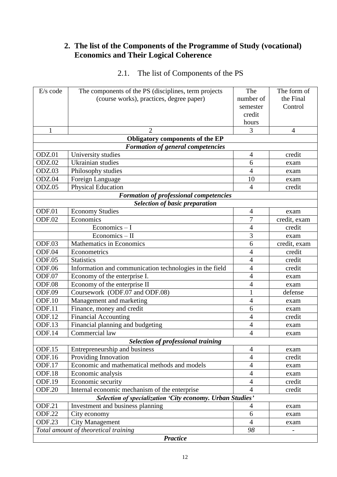### **2. The list of the Components of the Programme of Study (vocational) Economics and Their Logical Coherence**

| E/s code                                                  | The components of the PS (disciplines, term projects    | The            | The form of    |  |  |
|-----------------------------------------------------------|---------------------------------------------------------|----------------|----------------|--|--|
|                                                           | (course works), practices, degree paper)                | number of      | the Final      |  |  |
|                                                           |                                                         | semester       | Control        |  |  |
|                                                           |                                                         | credit         |                |  |  |
|                                                           |                                                         | hours          |                |  |  |
| $\mathbf{1}$                                              | $\mathfrak{D}$                                          | 3              | $\overline{4}$ |  |  |
|                                                           | Obligatory components of the EP                         |                |                |  |  |
|                                                           | <b>Formation of general competencies</b>                |                |                |  |  |
| ODZ.01                                                    | University studies                                      | 4              | credit         |  |  |
| ODZ.02                                                    | Ukrainian studies                                       | 6              | exam           |  |  |
| ODZ.03                                                    | Philosophy studies                                      | $\overline{4}$ | exam           |  |  |
| ODZ.04                                                    | Foreign Language                                        | 10             | exam           |  |  |
| ODZ.05                                                    | <b>Physical Education</b>                               | $\overline{4}$ | credit         |  |  |
|                                                           | <b>Formation of professional competencies</b>           |                |                |  |  |
|                                                           | <b>Selection of basic preparation</b>                   |                |                |  |  |
| ODF.01                                                    | <b>Economy Studies</b>                                  | $\overline{4}$ | exam           |  |  |
| ODF.02                                                    | Economics                                               | $\overline{7}$ | credit, exam   |  |  |
|                                                           | $Economics - I$                                         | $\overline{4}$ | credit         |  |  |
|                                                           | Economics - II                                          | $\overline{3}$ | exam           |  |  |
| ODF.03                                                    | Mathematics in Economics                                | 6              | credit, exam   |  |  |
| ODF.04                                                    | Econometrics                                            | $\overline{4}$ | credit         |  |  |
| ODF.05                                                    | <b>Statistics</b>                                       | $\overline{4}$ | credit         |  |  |
| ODF.06                                                    | Information and communication technologies in the field | $\overline{4}$ | credit         |  |  |
| ODF.07                                                    | Economy of the enterprise I.                            | $\overline{4}$ | exam           |  |  |
| ODF.08                                                    | Economy of the enterprise II                            | $\overline{4}$ | exam           |  |  |
| ODF.09                                                    | Coursework (ODF.07 and ODF.08)                          | $\mathbf{1}$   | defense        |  |  |
| ODF.10                                                    | Management and marketing                                | 4              | exam           |  |  |
| ODF.11                                                    | Finance, money and credit                               | 6              | exam           |  |  |
| ODF.12                                                    | <b>Financial Accounting</b>                             | $\overline{4}$ | credit         |  |  |
| ODF.13                                                    | Financial planning and budgeting                        | $\overline{4}$ | exam           |  |  |
| ODF.14                                                    | Commercial law                                          | 4              | exam           |  |  |
|                                                           | <b>Selection of professional training</b>               |                |                |  |  |
| <b>ODF.15</b>                                             | Entrepreneurship and business                           | 4              | exam           |  |  |
| ODF.16                                                    | Providing Innovation                                    | $\overline{4}$ | credit         |  |  |
| ODF.17                                                    | Economic and mathematical methods and models            | $\overline{4}$ | exam           |  |  |
| ODF.18                                                    | Economic analysis                                       | $\overline{4}$ | exam           |  |  |
| <b>ODF.19</b>                                             | Economic security                                       | $\overline{4}$ | credit         |  |  |
| <b>ODF.20</b>                                             | Internal economic mechanism of the enterprise           | 4              | credit         |  |  |
| Selection of specialization 'City economy. Urban Studies' |                                                         |                |                |  |  |
| ODF.21                                                    | Investment and business planning                        | 4              | exam           |  |  |
| <b>ODF.22</b>                                             | City economy                                            | 6              | exam           |  |  |
| ODF.23                                                    | <b>City Management</b>                                  | $\overline{4}$ | exam           |  |  |
|                                                           | Total amount of theoretical training                    | 98             |                |  |  |
| <b>Practice</b>                                           |                                                         |                |                |  |  |

# 2.1. The list of Components of the PS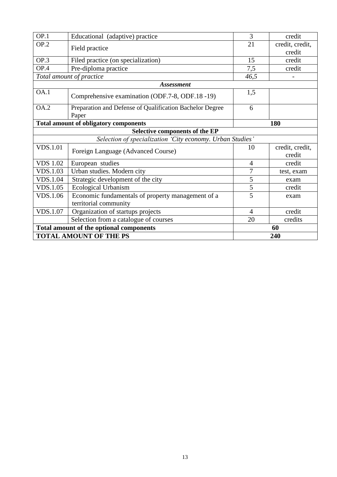| OP.1                          | Educational (adaptive) practice                                   | 3              | credit          |  |  |
|-------------------------------|-------------------------------------------------------------------|----------------|-----------------|--|--|
| OP.2                          | Field practice                                                    |                | credit, credit, |  |  |
|                               |                                                                   |                | credit          |  |  |
| OP.3                          | Filed practice (on specialization)                                | 15             | credit          |  |  |
| OP.4                          | Pre-diploma practice                                              | 7,5            | credit          |  |  |
|                               | Total amount of practice                                          | 46,5           |                 |  |  |
|                               | <b>Assessment</b>                                                 |                |                 |  |  |
| OA.1                          | Comprehensive examination (ODF.7-8, ODF.18-19)                    | 1,5            |                 |  |  |
| <b>OA.2</b>                   | Preparation and Defense of Qualification Bachelor Degree<br>Paper | 6              |                 |  |  |
|                               | <b>Total amount of obligatory components</b>                      | 180            |                 |  |  |
|                               | Selective components of the EP                                    |                |                 |  |  |
|                               | Selection of specialization 'City economy. Urban Studies'         |                |                 |  |  |
| <b>VDS.1.01</b>               | Foreign Language (Advanced Course)                                | 10             | credit, credit, |  |  |
|                               |                                                                   |                | credit          |  |  |
| <b>VDS 1.02</b>               | European studies                                                  | $\overline{4}$ | credit          |  |  |
| <b>VDS.1.03</b>               | Urban studies. Modern city                                        | 7              | test, exam      |  |  |
| <b>VDS.1.04</b>               | Strategic development of the city                                 | 5              | exam            |  |  |
| <b>VDS.1.05</b>               | <b>Ecological Urbanism</b>                                        | $\overline{5}$ | credit          |  |  |
| <b>VDS.1.06</b>               | Economic fundamentals of property management of a                 | 5              | exam            |  |  |
|                               | territorial community                                             |                |                 |  |  |
| <b>VDS.1.07</b>               | Organization of startups projects                                 | 4              | credit          |  |  |
|                               | Selection from a catalogue of courses                             | 20             | credits         |  |  |
|                               | <b>Total amount of the optional components</b>                    |                | 60              |  |  |
| <b>TOTAL AMOUNT OF THE PS</b> |                                                                   | 240            |                 |  |  |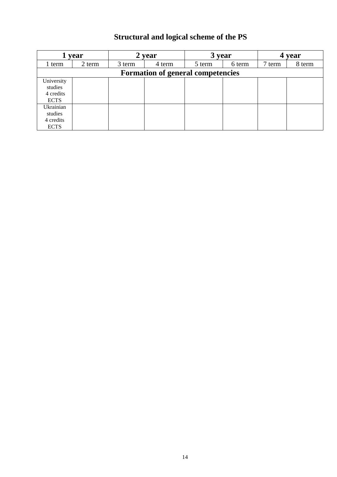# **Structural and logical scheme of the PS**

|                                                   | year   |        | year                                     | 3 year |        |        | year   |
|---------------------------------------------------|--------|--------|------------------------------------------|--------|--------|--------|--------|
| 1 term                                            | 2 term | 3 term | 4 term                                   | 5 term | 6 term | 7 term | 8 term |
|                                                   |        |        | <b>Formation of general competencies</b> |        |        |        |        |
| University<br>studies<br>4 credits<br><b>ECTS</b> |        |        |                                          |        |        |        |        |
| Ukrainian<br>studies<br>4 credits<br><b>ECTS</b>  |        |        |                                          |        |        |        |        |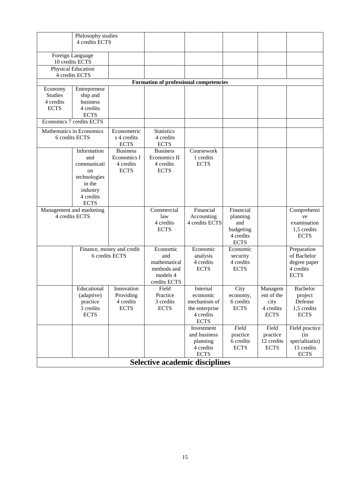|                | Philosophy studies<br>4 credits ECTS       |                            |                                        |                |             |             |                          |
|----------------|--------------------------------------------|----------------------------|----------------------------------------|----------------|-------------|-------------|--------------------------|
|                | Foreign Language                           |                            |                                        |                |             |             |                          |
|                | 10 credits ECTS                            |                            |                                        |                |             |             |                          |
|                | Physical Education                         |                            |                                        |                |             |             |                          |
|                | 4 credits ECTS                             |                            |                                        |                |             |             |                          |
|                |                                            |                            | Formation of professional competencies |                |             |             |                          |
| Economy        | Entrepreneur                               |                            |                                        |                |             |             |                          |
| <b>Studies</b> | ship and                                   |                            |                                        |                |             |             |                          |
| 4 credits      | business                                   |                            |                                        |                |             |             |                          |
| <b>ECTS</b>    | 4 credits                                  |                            |                                        |                |             |             |                          |
|                | <b>ECTS</b><br>Economics 7 credits ECTS    |                            |                                        |                |             |             |                          |
|                |                                            |                            |                                        |                |             |             |                          |
|                | Mathematics in Economics<br>6 credits ECTS | Econometric<br>s 4 credits | <b>Statistics</b><br>4 credits         |                |             |             |                          |
|                |                                            | <b>ECTS</b>                | <b>ECTS</b>                            |                |             |             |                          |
|                | Information                                | <b>Business</b>            | <b>Business</b>                        | Coursework     |             |             |                          |
|                | and                                        | Economics I                | Economics II                           | 1 credits      |             |             |                          |
|                | communicati                                | 4 credits                  | 4 credits                              | <b>ECTS</b>    |             |             |                          |
|                | on                                         | <b>ECTS</b>                | <b>ECTS</b>                            |                |             |             |                          |
|                | technologies                               |                            |                                        |                |             |             |                          |
|                | in the                                     |                            |                                        |                |             |             |                          |
|                | industry                                   |                            |                                        |                |             |             |                          |
|                | 4 credits                                  |                            |                                        |                |             |             |                          |
|                | <b>ECTS</b>                                |                            |                                        |                |             |             |                          |
|                | Management and marketing                   |                            | Commercial                             | Financial      | Financial   |             | Comprehensi              |
|                | 4 credits ECTS                             |                            | law                                    | Accounting     | planning    |             | ve                       |
|                |                                            |                            | 4 credits                              | 4 credits ECTS | and         |             | examination              |
|                |                                            |                            | <b>ECTS</b>                            |                | budgeting   |             | 1,5 credits              |
|                |                                            |                            |                                        |                | 4 credits   |             | <b>ECTS</b>              |
|                |                                            |                            |                                        |                | <b>ECTS</b> |             |                          |
|                |                                            | Finance, money and credit  | Economic                               | Economic       | Economic    |             | Preparation              |
|                |                                            | 6 credits ECTS             | and                                    | analysis       | security    |             | of Bachelor              |
|                |                                            |                            | mathematical                           | 4 credits      | 4 credits   |             | degree paper             |
|                |                                            |                            | methods and<br>models 4                | <b>ECTS</b>    | <b>ECTS</b> |             | 4 credits<br><b>ECTS</b> |
|                |                                            |                            | credits ECTS                           |                |             |             |                          |
|                | Educational                                | Innovation                 | Field                                  | Internal       | City        | Managem     | Bachelor                 |
|                | (adaptive)                                 | Providing                  | Practice                               | economic       | economy,    | ent of the  | project                  |
|                | practice                                   | 4 credits                  | 3 credits                              | mechanism of   | 6 credits   | city        | Defense                  |
|                | 3 credits                                  | <b>ECTS</b>                | <b>ECTS</b>                            | the enterprise | <b>ECTS</b> | 4 credits   | 1,5 credits              |
|                | <b>ECTS</b>                                |                            |                                        | 4 credits      |             | <b>ECTS</b> | <b>ECTS</b>              |
|                |                                            |                            |                                        | <b>ECTS</b>    |             |             |                          |
|                |                                            |                            |                                        | Investment     | Field       | Field       | Field practice           |
|                |                                            |                            |                                        | and business   | practice    | practice    | (in                      |
|                |                                            |                            |                                        | planning       | 6 credits   | 12 credits  | specialisatio)           |
|                |                                            |                            |                                        | 4 credits      | <b>ECTS</b> | <b>ECTS</b> | 15 credits               |
|                |                                            |                            |                                        | <b>ECTS</b>    |             |             | <b>ECTS</b>              |
|                |                                            |                            | <b>Selective academic disciplines</b>  |                |             |             |                          |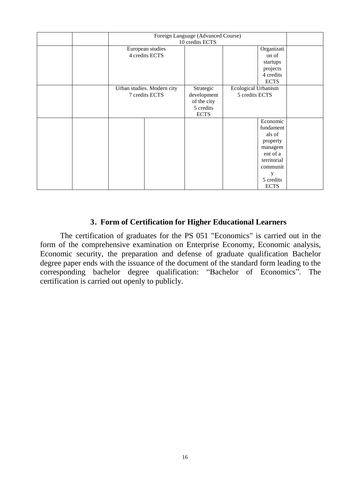|  |                            | Foreign Language (Advanced Course) |                     |  |
|--|----------------------------|------------------------------------|---------------------|--|
|  |                            | 10 credits ECTS                    |                     |  |
|  | European studies           |                                    | Organizati          |  |
|  | 4 credits ECTS             |                                    | on of               |  |
|  |                            |                                    | startups            |  |
|  |                            |                                    | projects            |  |
|  |                            |                                    | 4 credits           |  |
|  |                            |                                    | <b>ECTS</b>         |  |
|  | Urban studies. Modern city | Strategic                          | Ecological Urbanism |  |
|  | 7 credits ECTS             | development                        | 5 credits ECTS      |  |
|  |                            | of the city                        |                     |  |
|  |                            | 5 credits                          |                     |  |
|  |                            | <b>ECTS</b>                        |                     |  |
|  |                            |                                    | Economic            |  |
|  |                            |                                    | fundament           |  |
|  |                            |                                    | als of              |  |
|  |                            |                                    | property            |  |
|  |                            |                                    | managem             |  |
|  |                            |                                    | ent of a            |  |
|  |                            |                                    | territorial         |  |
|  |                            |                                    | communit            |  |
|  |                            |                                    | y                   |  |
|  |                            |                                    | 5 credits           |  |
|  |                            |                                    | <b>ECTS</b>         |  |

#### **3. Form of Certification for Higher Educational Learners**

The certification of graduates for the PS 051 "Economics" is carried out in the form of the comprehensive examination on Enterprise Economy, Economic analysis, Economic security, the preparation and defense of graduate qualification Bachelor degree paper ends with the issuance of the document of the standard form leading to the corresponding bachelor degree qualification: "Bachelor of Economics". The certification is carried out openly to publicly.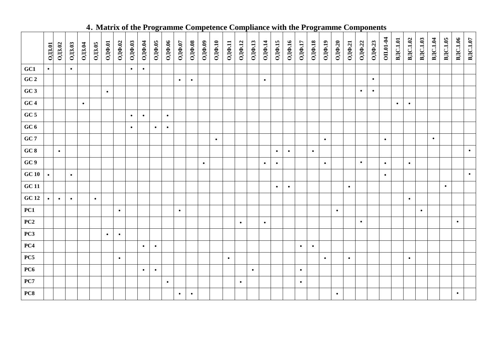|               |               |               |           |               |               |           |           |           |           | If mather of the 110gramme competence com- |               |           |           |           |           |           |               |           |           |                      | Primer with the 110gr |           |                      |           |               |           |           | annie Component |           |                 |           |                 |           |           |           |                  |
|---------------|---------------|---------------|-----------|---------------|---------------|-----------|-----------|-----------|-----------|--------------------------------------------|---------------|-----------|-----------|-----------|-----------|-----------|---------------|-----------|-----------|----------------------|-----------------------|-----------|----------------------|-----------|---------------|-----------|-----------|-----------------|-----------|-----------------|-----------|-----------------|-----------|-----------|-----------|------------------|
|               | <b>ОДЗ.01</b> | <b>ОДЗ.02</b> | OIB.03    | <b>OJ3.04</b> | <b>ОДЗ.05</b> | ОДФ.01    | ОДФ.02    | ОДФ.03    | 0ДФ.04    | ОДФ.05                                     | <b>ОДФ.06</b> | ОДФ.07    | ОДФ.08    | ОДФ.09    | ОДФ. $10$ | ОДФ.11    | <b>ОДФ.12</b> | ОДФ.13    | 0ДФ.14    | $O[\text{I}\Phi.15]$ | ОДФ.16                | ОДФ.17    | $O[\text{I}\Phi.18]$ | ОДФ.19    | <b>ОДФ.20</b> | 0ДФ.21    | ОДФ.22    | ОДФ.23          | OII.01-04 | <b>ВДС.1.01</b> | ВДС.1.02  | <b>ВДС.1.03</b> | ВДС.1.04  | ВДС.1.05  | ВДС.1.06  | <b>B</b> IC.1.07 |
| GC1           | $\bullet$     |               | $\bullet$ |               |               |           |           | $\bullet$ | $\bullet$ |                                            |               |           |           |           |           |           |               |           |           |                      |                       |           |                      |           |               |           |           |                 |           |                 |           |                 |           |           |           |                  |
| GC 2          |               |               |           |               |               |           |           |           |           |                                            |               | $\bullet$ | $\bullet$ |           |           |           |               |           | $\bullet$ |                      |                       |           |                      |           |               |           |           | $\bullet$       |           |                 |           |                 |           |           |           |                  |
| GC3           |               |               |           |               |               | $\bullet$ |           |           |           |                                            |               |           |           |           |           |           |               |           |           |                      |                       |           |                      |           |               |           | $\bullet$ | $\bullet$       |           |                 |           |                 |           |           |           |                  |
| GC4           |               |               |           | $\bullet$     |               |           |           |           |           |                                            |               |           |           |           |           |           |               |           |           |                      |                       |           |                      |           |               |           |           |                 |           | $\bullet$       | $\bullet$ |                 |           |           |           |                  |
| GC 5          |               |               |           |               |               |           |           | $\bullet$ | $\bullet$ |                                            | $\bullet$     |           |           |           |           |           |               |           |           |                      |                       |           |                      |           |               |           |           |                 |           |                 |           |                 |           |           |           |                  |
| GC $6$        |               |               |           |               |               |           |           | $\bullet$ |           | $\bullet$                                  | $\bullet$     |           |           |           |           |           |               |           |           |                      |                       |           |                      |           |               |           |           |                 |           |                 |           |                 |           |           |           |                  |
| GC7           |               |               |           |               |               |           |           |           |           |                                            |               |           |           |           | $\bullet$ |           |               |           |           |                      |                       |           |                      | $\bullet$ |               |           |           |                 | $\bullet$ |                 |           |                 | $\bullet$ |           |           |                  |
| GC 8          |               | $\bullet$     |           |               |               |           |           |           |           |                                            |               |           |           |           |           |           |               |           |           | $\bullet$            | $\bullet$             |           | $\bullet$            |           |               |           |           |                 |           |                 |           |                 |           |           |           | $\bullet$        |
| GC9           |               |               |           |               |               |           |           |           |           |                                            |               |           |           | $\bullet$ |           |           |               |           | $\bullet$ | $\bullet$            |                       |           |                      | $\bullet$ |               |           | $\bullet$ |                 | $\bullet$ |                 | $\bullet$ |                 |           |           |           |                  |
| GC10          | $\bullet$     |               | $\bullet$ |               |               |           |           |           |           |                                            |               |           |           |           |           |           |               |           |           |                      |                       |           |                      |           |               |           |           |                 | $\bullet$ |                 |           |                 |           |           |           | $\bullet$        |
| ${\bf GC}$ 11 |               |               |           |               |               |           |           |           |           |                                            |               |           |           |           |           |           |               |           |           | $\bullet$            | $\bullet$             |           |                      |           |               | $\bullet$ |           |                 |           |                 |           |                 |           | $\bullet$ |           |                  |
| <b>GC 12</b>  | $\bullet$     | $\bullet$     | $\bullet$ |               | $\bullet$     |           |           |           |           |                                            |               |           |           |           |           |           |               |           |           |                      |                       |           |                      |           |               |           |           |                 |           |                 | $\bullet$ |                 |           |           |           |                  |
| PC1           |               |               |           |               |               |           | $\bullet$ |           |           |                                            |               | $\bullet$ |           |           |           |           |               |           |           |                      |                       |           |                      |           | $\bullet$     |           |           |                 |           |                 |           | $\bullet$       |           |           |           |                  |
| PC2           |               |               |           |               |               |           |           |           |           |                                            |               |           |           |           |           |           | $\bullet$     |           | $\bullet$ |                      |                       |           |                      |           |               |           | $\bullet$ |                 |           |                 |           |                 |           |           | $\bullet$ |                  |
| PC3           |               |               |           |               |               | $\bullet$ | $\bullet$ |           |           |                                            |               |           |           |           |           |           |               |           |           |                      |                       |           |                      |           |               |           |           |                 |           |                 |           |                 |           |           |           |                  |
| PC4           |               |               |           |               |               |           |           |           | $\bullet$ | $\bullet$                                  |               |           |           |           |           |           |               |           |           |                      |                       | $\bullet$ | $\bullet$            |           |               |           |           |                 |           |                 |           |                 |           |           |           |                  |
| PC5           |               |               |           |               |               |           | $\bullet$ |           |           |                                            |               |           |           |           |           | $\bullet$ |               |           |           |                      |                       |           |                      | $\bullet$ |               | $\bullet$ |           |                 |           |                 | $\bullet$ |                 |           |           |           |                  |
| PC6           |               |               |           |               |               |           |           |           | $\bullet$ | $\bullet$                                  |               |           |           |           |           |           |               | $\bullet$ |           |                      |                       | $\bullet$ |                      |           |               |           |           |                 |           |                 |           |                 |           |           |           |                  |
| PC7           |               |               |           |               |               |           |           |           |           |                                            | $\bullet$     |           |           |           |           |           | $\bullet$     |           |           |                      |                       | $\bullet$ |                      |           |               |           |           |                 |           |                 |           |                 |           |           |           |                  |
| PC8           |               |               |           |               |               |           |           |           |           |                                            |               | $\bullet$ | $\bullet$ |           |           |           |               |           |           |                      |                       |           |                      |           | $\bullet$     |           |           |                 |           |                 |           |                 |           |           | $\bullet$ |                  |
|               |               |               |           |               |               |           |           |           |           |                                            |               |           |           |           |           |           |               |           |           |                      |                       |           |                      |           |               |           |           |                 |           |                 |           |                 |           |           |           |                  |

### **4. Matrix of the Programme Competence Compliance with the Programme Components**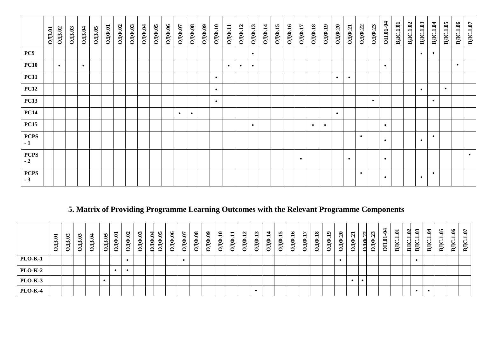|                     | <b>OJ3.01</b> | <b>ОДЗ.02</b> | <b>ОДЗ.03</b> | <b>ОДЗ.04</b> | OIB.05 | ОДФ.01 | ОДФ.02 | ОДФ.03 | 0ДФ.04 | ОДФ.05 | ОДФ.06 | ОДФ.07    | ОДФ.08    | ОДФ.09 | ОДФ.10    | 0ДФ.11    | <b>ОДФ.12</b> | ОДФ.13    | 0ДФ.14 | ОДФ.15 | 0ДФ.16 | 0ДФ.17    | ОДФ.18    | $OJ(\Phi.19)$ | ОДФ.20    | ОДФ.21    | ОДФ.22    | ОДФ.23    | OII.01-04 | <b>ВДС.1.01</b> | ВДС.1.02 | ВДС.1.03  | ВДС.1.04  | <b>B</b> IC.1.05 | ВДС.1.06  | ВДС.1.07  |
|---------------------|---------------|---------------|---------------|---------------|--------|--------|--------|--------|--------|--------|--------|-----------|-----------|--------|-----------|-----------|---------------|-----------|--------|--------|--------|-----------|-----------|---------------|-----------|-----------|-----------|-----------|-----------|-----------------|----------|-----------|-----------|------------------|-----------|-----------|
| PC9                 |               |               |               |               |        |        |        |        |        |        |        |           |           |        |           |           |               | $\bullet$ |        |        |        |           |           |               |           |           |           |           |           |                 |          | $\bullet$ | $\bullet$ |                  |           |           |
| <b>PC10</b>         |               | $\bullet$     |               | $\bullet$     |        |        |        |        |        |        |        |           |           |        |           | $\bullet$ | $\bullet$     | $\bullet$ |        |        |        |           |           |               |           |           |           |           | $\bullet$ |                 |          |           |           |                  | $\bullet$ |           |
| <b>PC11</b>         |               |               |               |               |        |        |        |        |        |        |        |           |           |        | $\bullet$ |           |               |           |        |        |        |           |           |               | $\bullet$ | $\bullet$ |           |           |           |                 |          |           |           |                  |           |           |
| <b>PC12</b>         |               |               |               |               |        |        |        |        |        |        |        |           |           |        | $\bullet$ |           |               |           |        |        |        |           |           |               |           |           |           |           |           |                 |          | $\bullet$ |           | $\bullet$        |           |           |
| <b>PC13</b>         |               |               |               |               |        |        |        |        |        |        |        |           |           |        | $\bullet$ |           |               |           |        |        |        |           |           |               |           |           |           | $\bullet$ |           |                 |          |           | $\bullet$ |                  |           |           |
| <b>PC14</b>         |               |               |               |               |        |        |        |        |        |        |        | $\bullet$ | $\bullet$ |        |           |           |               |           |        |        |        |           |           |               | $\bullet$ |           |           |           |           |                 |          |           |           |                  |           |           |
| <b>PC15</b>         |               |               |               |               |        |        |        |        |        |        |        |           |           |        |           |           |               | $\bullet$ |        |        |        |           | $\bullet$ | $\bullet$     |           |           |           |           | $\bullet$ |                 |          |           |           |                  |           |           |
| <b>PCPS</b><br>$-1$ |               |               |               |               |        |        |        |        |        |        |        |           |           |        |           |           |               |           |        |        |        |           |           |               |           |           | $\bullet$ |           | $\bullet$ |                 |          | $\bullet$ | $\bullet$ |                  |           |           |
| <b>PCPS</b><br>$-2$ |               |               |               |               |        |        |        |        |        |        |        |           |           |        |           |           |               |           |        |        |        | $\bullet$ |           |               |           | $\bullet$ |           |           | $\bullet$ |                 |          |           |           |                  |           | $\bullet$ |
| <b>PCPS</b><br>$-3$ |               |               |               |               |        |        |        |        |        |        |        |           |           |        |           |           |               |           |        |        |        |           |           |               |           |           | $\bullet$ |           | $\bullet$ |                 |          | $\bullet$ | $\bullet$ |                  |           |           |

# **5. Matrix of Providing Programme Learning Outcomes with the Relevant Programme Components**

|                | $\Xi$<br>ో<br>$\mathbf \Xi$<br>◡ | N<br>0<br>≒<br>$\tilde{\phantom{a}}$ | ొ<br>0<br>⇜<br>$\blacksquare$<br>v | $\blacktriangleleft$<br>. .<br>$\sim$<br>$\mathbf{\Pi}$<br>∽ | In.<br>$\bullet$<br>$\sim$<br>⊣<br>◡ | $\blacksquare$<br>۵<br>е | $\mathbf{\mathsf{N}}$<br>0<br>$\bullet$<br>U<br>$\blacksquare$<br>∽ | ొ<br>6<br>. .<br>е<br>⊣<br>⌒<br>◡ | ↽<br>−<br>⊢<br>╭<br>╰ | 9<br>е<br>Ŕ<br>0 | క<br>е<br>Ŕ<br>⌒<br>◡ | ∼<br>◓<br>e<br>$\mathbf \Xi$<br>⌒<br>◡ | $\boldsymbol{8}$<br>$\bullet$<br>$\overline{\mu}$<br>$\checkmark$ | ತಿ<br>Å<br>⌒<br>v | $\bullet$<br>$\mu$<br>v | $\blacksquare$<br>ДΦ<br>- | $\mathbf{\Omega}$<br>$\overline{\mu}$<br>◡ | ∾<br>е<br>$\mathbf{\Pi}$ | 4<br>$\bullet$<br>e<br>真<br>$\checkmark$ | n,<br>$\bullet$<br>U<br>Ř<br>$\checkmark$ | ७<br>$\blacksquare$<br>$\bullet$<br>$\hat{\mathbf{e}}$<br>$\Xi$<br>◡ | $\mathbf{H}$<br>$\bullet$<br>$\Theta$<br>$\overline{5}$ | $\overline{18}$<br>$\bullet$<br>$O$ ДФ | $\mathbf{a}$<br>$O(\Phi)$ | $\boldsymbol{z}$<br>. .<br>$O(\Phi)$ | $\overline{z}$<br>$\mathbf{O}(\mathbf{Q})$ | $0$ $\mathbb{I}$ $\Phi$ | Θ.<br>$\blacksquare$<br>⌒ | $\overline{a}$<br>◓<br>−<br>0<br>−<br>$\blacktriangleright$ | −<br>◒<br>ั่≃ | 0<br>≃ | ຕ<br>۵<br>$\mathbf \Xi$<br>≃ | ↽<br>$\bullet$<br>-٠<br>−<br>$\checkmark$<br>БĂ | $\ddot{\mathbf{e}}$<br>−<br>$\bullet$<br>$\checkmark$<br>$\mathbb{R}$ | $\boldsymbol{\delta}$<br>$\checkmark$<br>−<br>$\mathbf{B}$ | S.<br>−<br>≍<br>$\mathbf{B}$ |
|----------------|----------------------------------|--------------------------------------|------------------------------------|--------------------------------------------------------------|--------------------------------------|--------------------------|---------------------------------------------------------------------|-----------------------------------|-----------------------|------------------|-----------------------|----------------------------------------|-------------------------------------------------------------------|-------------------|-------------------------|---------------------------|--------------------------------------------|--------------------------|------------------------------------------|-------------------------------------------|----------------------------------------------------------------------|---------------------------------------------------------|----------------------------------------|---------------------------|--------------------------------------|--------------------------------------------|-------------------------|---------------------------|-------------------------------------------------------------|---------------|--------|------------------------------|-------------------------------------------------|-----------------------------------------------------------------------|------------------------------------------------------------|------------------------------|
| <b>PLO-K-1</b> |                                  |                                      |                                    |                                                              |                                      |                          |                                                                     |                                   |                       |                  |                       |                                        |                                                                   |                   |                         |                           |                                            |                          |                                          |                                           |                                                                      |                                                         |                                        |                           |                                      |                                            |                         |                           |                                                             |               |        |                              |                                                 |                                                                       |                                                            |                              |
| <b>PLO-K-2</b> |                                  |                                      |                                    |                                                              |                                      |                          | $\bullet$                                                           |                                   |                       |                  |                       |                                        |                                                                   |                   |                         |                           |                                            |                          |                                          |                                           |                                                                      |                                                         |                                        |                           |                                      |                                            |                         |                           |                                                             |               |        |                              |                                                 |                                                                       |                                                            |                              |
| <b>PLO-K-3</b> |                                  |                                      |                                    |                                                              |                                      |                          |                                                                     |                                   |                       |                  |                       |                                        |                                                                   |                   |                         |                           |                                            |                          |                                          |                                           |                                                                      |                                                         |                                        |                           |                                      |                                            |                         |                           |                                                             |               |        |                              |                                                 |                                                                       |                                                            |                              |
| <b>PLO-K-4</b> |                                  |                                      |                                    |                                                              |                                      |                          |                                                                     |                                   |                       |                  |                       |                                        |                                                                   |                   |                         |                           |                                            |                          |                                          |                                           |                                                                      |                                                         |                                        |                           |                                      |                                            |                         |                           |                                                             |               |        |                              |                                                 |                                                                       |                                                            |                              |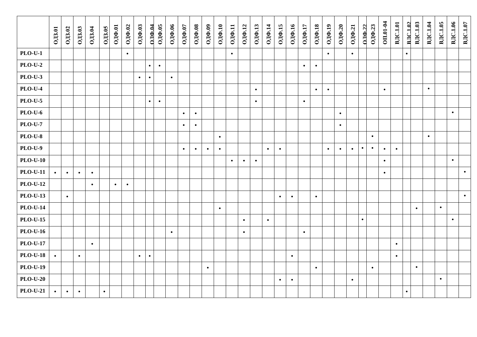|                 | <b>ОДЗ.01</b> | <b>ОДЗ.02</b> | <b>ОДЗ.03</b> | <b>ОДЗ.04</b> | <b>ОДЗ.05</b> | ОДФ.01    | ОДФ.02    | ОДФ.03    | ОЛФ.04    | ОДФ.05    | ОДФ.06    | ОДФ.07    | ОДФ.08    | ОДФ.09    | ОДФ. $10$ | 0ДФ.11    | ОДФ.12    | ОДФ.13    | 0ДФ.14    | 0ДФ.15    | 0ДФ.16    | ОДФ.17    | 0ДФ.18    | ОДФ.19    | ОДФ.20    | 0ДФ.21    | $\Omega$ IO.22 | ОДФ.23    | OII.01-04 | <b>ВДС.1.01</b> | <b>BJC.1.02</b> | <b>ВДС.1.03</b> | <b>ВДС.1.04</b> | ВДС.1.05  | <b>ВДС.1.06</b> | ВДС.1.07  |
|-----------------|---------------|---------------|---------------|---------------|---------------|-----------|-----------|-----------|-----------|-----------|-----------|-----------|-----------|-----------|-----------|-----------|-----------|-----------|-----------|-----------|-----------|-----------|-----------|-----------|-----------|-----------|----------------|-----------|-----------|-----------------|-----------------|-----------------|-----------------|-----------|-----------------|-----------|
| <b>PLO-U-1</b>  |               |               |               |               |               |           | $\bullet$ |           |           |           |           |           |           |           |           | $\bullet$ |           |           |           |           |           |           |           | $\bullet$ |           | $\bullet$ |                |           |           |                 | $\bullet$       |                 |                 |           |                 |           |
| $PLO-U-2$       |               |               |               |               |               |           |           |           | $\bullet$ | $\bullet$ |           |           |           |           |           |           |           |           |           |           |           | $\bullet$ | $\bullet$ |           |           |           |                |           |           |                 |                 |                 |                 |           |                 |           |
| <b>PLO-U-3</b>  |               |               |               |               |               |           |           | $\bullet$ | $\bullet$ |           | $\bullet$ |           |           |           |           |           |           |           |           |           |           |           |           |           |           |           |                |           |           |                 |                 |                 |                 |           |                 |           |
| <b>PLO-U-4</b>  |               |               |               |               |               |           |           |           |           |           |           |           |           |           |           |           |           | $\bullet$ |           |           |           |           | $\bullet$ | $\bullet$ |           |           |                |           | $\bullet$ |                 |                 |                 | $\bullet$       |           |                 |           |
| <b>PLO-U-5</b>  |               |               |               |               |               |           |           |           | $\bullet$ | $\bullet$ |           |           |           |           |           |           |           | $\bullet$ |           |           |           | $\bullet$ |           |           |           |           |                |           |           |                 |                 |                 |                 |           |                 |           |
| <b>PLO-U-6</b>  |               |               |               |               |               |           |           |           |           |           |           | $\bullet$ | $\bullet$ |           |           |           |           |           |           |           |           |           |           |           | $\bullet$ |           |                |           |           |                 |                 |                 |                 |           | $\bullet$       |           |
| $PLO-U-7$       |               |               |               |               |               |           |           |           |           |           |           | $\bullet$ | $\bullet$ |           |           |           |           |           |           |           |           |           |           |           | $\bullet$ |           |                |           |           |                 |                 |                 |                 |           |                 |           |
| <b>PLO-U-8</b>  |               |               |               |               |               |           |           |           |           |           |           |           |           |           | $\bullet$ |           |           |           |           |           |           |           |           |           |           |           |                | $\bullet$ |           |                 |                 |                 | $\bullet$       |           |                 |           |
| <b>PLO-U-9</b>  |               |               |               |               |               |           |           |           |           |           |           | $\bullet$ | $\bullet$ | $\bullet$ | $\bullet$ |           |           |           | $\bullet$ | $\bullet$ |           |           |           | $\bullet$ | $\bullet$ | $\bullet$ | $\bullet$      | $\bullet$ | $\bullet$ | $\bullet$       |                 |                 |                 |           |                 |           |
| $PLO-U-10$      |               |               |               |               |               |           |           |           |           |           |           |           |           |           |           | $\bullet$ | $\bullet$ | $\bullet$ |           |           |           |           |           |           |           |           |                |           | $\bullet$ |                 |                 |                 |                 |           | $\bullet$       |           |
| <b>PLO-U-11</b> | $\bullet$     | $\bullet$     | $\bullet$     | $\bullet$     |               |           |           |           |           |           |           |           |           |           |           |           |           |           |           |           |           |           |           |           |           |           |                |           | $\bullet$ |                 |                 |                 |                 |           |                 | $\bullet$ |
| <b>PLO-U-12</b> |               |               |               | $\bullet$     |               | $\bullet$ | $\bullet$ |           |           |           |           |           |           |           |           |           |           |           |           |           |           |           |           |           |           |           |                |           |           |                 |                 |                 |                 |           |                 |           |
| <b>PLO-U-13</b> |               | $\bullet$     |               |               |               |           |           |           |           |           |           |           |           |           |           |           |           |           |           | $\bullet$ | $\bullet$ |           | $\bullet$ |           |           |           |                |           |           |                 |                 |                 |                 |           |                 | $\bullet$ |
| $PLO-U-14$      |               |               |               |               |               |           |           |           |           |           |           |           |           |           | $\bullet$ |           |           |           |           |           |           |           |           |           |           |           |                |           |           |                 |                 | $\bullet$       |                 | $\bullet$ |                 |           |
| <b>PLO-U-15</b> |               |               |               |               |               |           |           |           |           |           |           |           |           |           |           |           | $\bullet$ |           | $\bullet$ |           |           |           |           |           |           |           | $\bullet$      |           |           |                 |                 |                 |                 |           | $\bullet$       |           |
| <b>PLO-U-16</b> |               |               |               |               |               |           |           |           |           |           | $\bullet$ |           |           |           |           |           | $\bullet$ |           |           |           |           | $\bullet$ |           |           |           |           |                |           |           |                 |                 |                 |                 |           |                 |           |
| <b>PLO-U-17</b> |               |               |               | $\bullet$     |               |           |           |           |           |           |           |           |           |           |           |           |           |           |           |           |           |           |           |           |           |           |                |           |           | $\bullet$       |                 |                 |                 |           |                 |           |
| <b>PLO-U-18</b> | $\bullet$     |               | $\bullet$     |               |               |           |           | $\bullet$ | $\bullet$ |           |           |           |           |           |           |           |           |           |           |           | $\bullet$ |           |           |           |           |           |                |           |           | $\bullet$       |                 |                 |                 |           |                 |           |
| <b>PLO-U-19</b> |               |               |               |               |               |           |           |           |           |           |           |           |           | $\bullet$ |           |           |           |           |           |           |           |           | $\bullet$ |           |           |           |                | $\bullet$ |           |                 |                 | $\bullet$       |                 |           |                 |           |
| $PLO-U-20$      |               |               |               |               |               |           |           |           |           |           |           |           |           |           |           |           |           |           |           | $\bullet$ | $\bullet$ |           |           |           |           | $\bullet$ |                |           |           |                 |                 |                 |                 | $\bullet$ |                 |           |
| <b>PLO-U-21</b> | $\bullet$     | $\bullet$     | $\bullet$     |               | $\bullet$     |           |           |           |           |           |           |           |           |           |           |           |           |           |           |           |           |           |           |           |           |           |                |           |           |                 | $\bullet$       |                 |                 |           |                 |           |